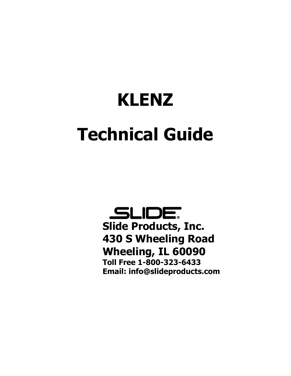# **KLENZ Technical Guide**

SLIDE **Slide Products, Inc. 430 S Wheeling Road Wheeling, IL 60090 Toll Free 1-800-323-6433 Email: info@slideproducts.com**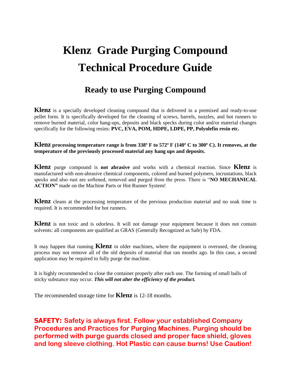# **Klenz Grade Purging Compound Technical Procedure Guide**

## **Ready to use Purging Compound**

**Klenz** is a specially developed cleaning compound that is delivered in a premixed and ready-to-use pellet form. It is specifically developed for the cleaning of screws, barrels, nozzles, and hot runners to remove burned material, color hang-ups, deposits and black specks during color and/or material changes specifically for the following resins: **PVC, EVA, POM, HDPE, LDPE, PP, Polyolefin resin etc.**

**Klenz processing temperature range is from 338º F to 572º F (140º C to 300º C). It removes, at the temperature of the previously processed material any hang ups and deposits.** 

**Klenz** purge compound is **not abrasive** and works with a chemical reaction. Since **Klenz** is manufactured with non-abrasive chemical components, colored and burned polymers, incrustations, black specks and also rust are softened, removed and purged from the press. There is "**NO MECHANICAL ACTION"** made on the Machine Parts or Hot Runner System!

**Klenz** cleans at the processing temperature of the previous production material and no soak time is required. It is recommended for hot runners.

**Klenz** is not toxic and is odorless. It will not damage your equipment because it does not contain solvents: all components are qualified as GRAS (Generally Recognized as Safe) by FDA.

It may happen that running **Klenz** in older machines, where the equipment is overused, the cleaning process may not remove all of the old deposits of material that ran months ago. In this case, a second application may be required to fully purge the machine.

It is highly recommended to close the container properly after each use. The forming of small balls of sticky substance may occur. *This will not alter the efficiency of the product.*

The recommended storage time for **Klenz** is 12-18 months.

**SAFETY: Safety is always first. Follow your established Company Procedures and Practices for Purging Machines. Purging should be performed with purge guards closed and proper face shield, gloves and long sleeve clothing. Hot Plastic can cause burns! Use Caution!**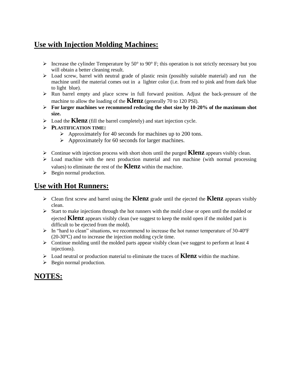## **Use with Injection Molding Machines:**

- Increase the cylinder Temperature by 50 $\degree$  to 90 $\degree$  F; this operation is not strictly necessary but you will obtain a better cleaning result.
- Load screw, barrel with neutral grade of plastic resin (possibly suitable material) and run the machine until the material comes out in a lighter color (i.e. from red to pink and from dark blue to light blue).
- $\triangleright$  Run barrel empty and place screw in full forward position. Adjust the back-pressure of the machine to allow the loading of the **Klenz** (generally 70 to 120 PSI).
- **For larger machines we recommend reducing the shot size by 10-20% of the maximum shot size.**
- $\triangleright$  Load the **Klenz** (fill the barrel completely) and start injection cycle.
- **PLASTIFICATION TIME:**
	- $\triangleright$  Approximately for 40 seconds for machines up to 200 tons.
	- $\triangleright$  Approximately for 60 seconds for larger machines.
- Continue with injection process with short shots until the purged **Klenz** appears visibly clean.
- $\triangleright$  Load machine with the next production material and run machine (with normal processing values) to eliminate the rest of the **Klenz** within the machine.
- $\triangleright$  Begin normal production.

#### **Use with Hot Runners:**

- Clean first screw and barrel using the **Klenz** grade until the ejected the **Klenz** appears visibly clean.
- $\triangleright$  Start to make injections through the hot runners with the mold close or open until the molded or ejected **Klenz** appears visibly clean (we suggest to keep the mold open if the molded part is difficult to be ejected from the mold).
- $\triangleright$  In "hard to clean" situations, we recommend to increase the hot runner temperature of 30-40 $\mathrm{F}$ (20-30ºC) and to increase the injection molding cycle time.
- $\triangleright$  Continue molding until the molded parts appear visibly clean (we suggest to perform at least 4 injections).
- Load neutral or production material to eliminate the traces of **Klenz** within the machine.
- $\triangleright$  Begin normal production.

#### **NOTES:**